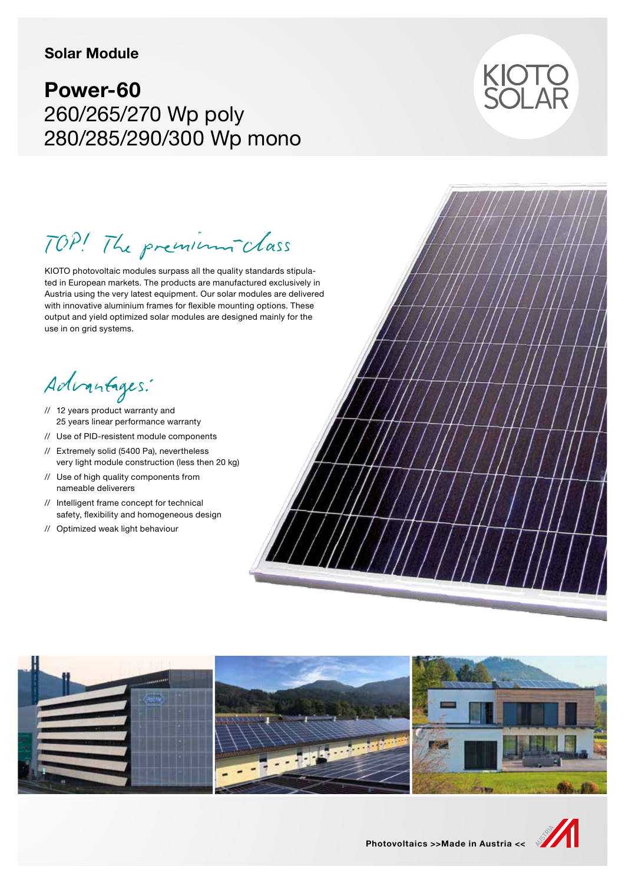### **Solar Module**

# **Power-60** 260/265/270 Wp poly 280/285/290/300 Wp mono



TOP! The premium-class

KIOTO photovoltaic modules surpass all the quality standards stipulated in European markets. The products are manufactured exclusively in Austria using the very latest equipment. Our solar modules are delivered with innovative aluminium frames for flexible mounting options. These output and yield optimized solar modules are designed mainly for the use in on grid systems.

Advantages:

- // 12 years product warranty and 25 years linear performance warranty
- // Use of PID-resistent module components
- // Extremely solid (5400 Pa), nevertheless very light module construction (less then 20 kg)
- // Use of high quality components from nameable deliverers
- // Intelligent frame concept for technical safety, flexibility and homogeneous design
- // Optimized weak light behaviour